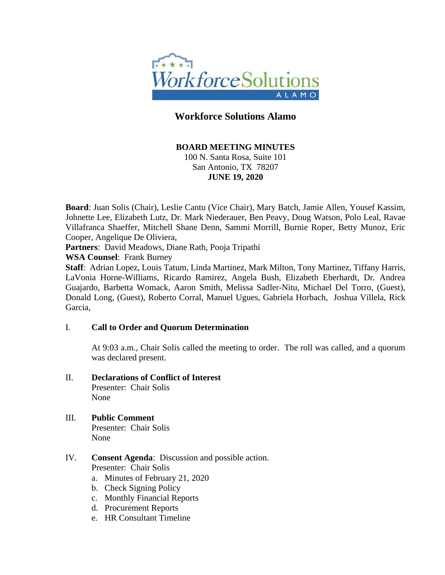

# **Workforce Solutions Alamo**

### **BOARD MEETING MINUTES**

100 N. Santa Rosa, Suite 101 San Antonio, TX 78207 **JUNE 19, 2020**

**Board**: Juan Solis (Chair), Leslie Cantu (Vice Chair), Mary Batch, Jamie Allen, Yousef Kassim, Johnette Lee, Elizabeth Lutz, Dr. Mark Niederauer, Ben Peavy, Doug Watson, Polo Leal, Ravae Villafranca Shaeffer, Mitchell Shane Denn, Sammi Morrill, Burnie Roper, Betty Munoz, Eric Cooper, Angelique De Oliviera,

**Partners**: David Meadows, Diane Rath, Pooja Tripathi

**WSA Counsel**: Frank Burney

**Staff**: Adrian Lopez, Louis Tatum, Linda Martinez, Mark Milton, Tony Martinez, Tiffany Harris, LaVonia Horne-Williams, Ricardo Ramirez, Angela Bush, Elizabeth Eberhardt, Dr. Andrea Guajardo, Barbetta Womack, Aaron Smith, Melissa Sadler-Nitu, Michael Del Torro, (Guest), Donald Long, (Guest), Roberto Corral, Manuel Ugues, Gabriela Horbach, Joshua Villela, Rick Garcia,

### I. **Call to Order and Quorum Determination**

At 9:03 a.m., Chair Solis called the meeting to order. The roll was called, and a quorum was declared present.

II. **Declarations of Conflict of Interest**

Presenter: Chair Solis None

- III. **Public Comment** Presenter: Chair Solis None
- IV. **Consent Agenda**: Discussion and possible action. Presenter: Chair Solis
	- a. Minutes of February 21, 2020
	- b. Check Signing Policy
	- c. Monthly Financial Reports
	- d. Procurement Reports
	- e. HR Consultant Timeline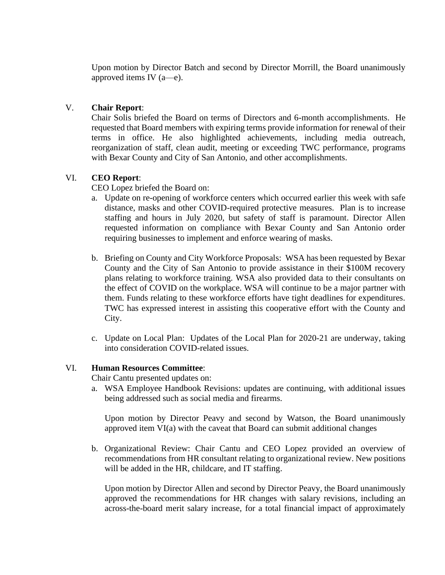Upon motion by Director Batch and second by Director Morrill, the Board unanimously approved items IV (a—e).

## V. **Chair Report**:

Chair Solis briefed the Board on terms of Directors and 6-month accomplishments. He requested that Board members with expiring terms provide information for renewal of their terms in office. He also highlighted achievements, including media outreach, reorganization of staff, clean audit, meeting or exceeding TWC performance, programs with Bexar County and City of San Antonio, and other accomplishments.

# VI. **CEO Report**:

CEO Lopez briefed the Board on:

- a. Update on re-opening of workforce centers which occurred earlier this week with safe distance, masks and other COVID-required protective measures. Plan is to increase staffing and hours in July 2020, but safety of staff is paramount. Director Allen requested information on compliance with Bexar County and San Antonio order requiring businesses to implement and enforce wearing of masks.
- b. Briefing on County and City Workforce Proposals: WSA has been requested by Bexar County and the City of San Antonio to provide assistance in their \$100M recovery plans relating to workforce training. WSA also provided data to their consultants on the effect of COVID on the workplace. WSA will continue to be a major partner with them. Funds relating to these workforce efforts have tight deadlines for expenditures. TWC has expressed interest in assisting this cooperative effort with the County and City.
- c. Update on Local Plan: Updates of the Local Plan for 2020-21 are underway, taking into consideration COVID-related issues.

### VI. **Human Resources Committee**:

Chair Cantu presented updates on:

a. WSA Employee Handbook Revisions: updates are continuing, with additional issues being addressed such as social media and firearms.

Upon motion by Director Peavy and second by Watson, the Board unanimously approved item VI(a) with the caveat that Board can submit additional changes

b. Organizational Review: Chair Cantu and CEO Lopez provided an overview of recommendations from HR consultant relating to organizational review. New positions will be added in the HR, childcare, and IT staffing.

Upon motion by Director Allen and second by Director Peavy, the Board unanimously approved the recommendations for HR changes with salary revisions, including an across-the-board merit salary increase, for a total financial impact of approximately